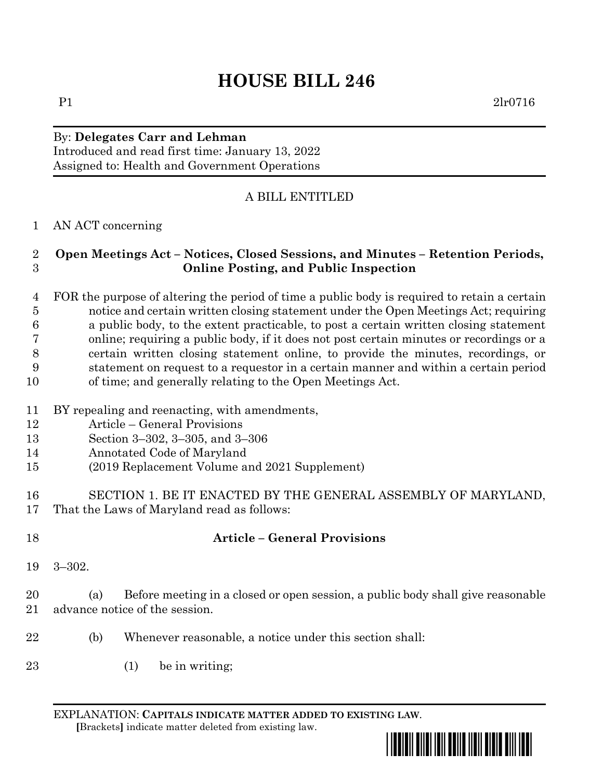# **HOUSE BILL 246**

# By: **Delegates Carr and Lehman**

Introduced and read first time: January 13, 2022 Assigned to: Health and Government Operations

### A BILL ENTITLED

#### AN ACT concerning

#### **Open Meetings Act – Notices, Closed Sessions, and Minutes – Retention Periods, Online Posting, and Public Inspection**

 FOR the purpose of altering the period of time a public body is required to retain a certain notice and certain written closing statement under the Open Meetings Act; requiring a public body, to the extent practicable, to post a certain written closing statement online; requiring a public body, if it does not post certain minutes or recordings or a certain written closing statement online, to provide the minutes, recordings, or statement on request to a requestor in a certain manner and within a certain period of time; and generally relating to the Open Meetings Act.

- BY repealing and reenacting, with amendments,
- Article General Provisions
- Section 3–302, 3–305, and 3–306
- Annotated Code of Maryland
- (2019 Replacement Volume and 2021 Supplement)
- SECTION 1. BE IT ENACTED BY THE GENERAL ASSEMBLY OF MARYLAND, That the Laws of Maryland read as follows:
- 

## **Article – General Provisions**

3–302.

 (a) Before meeting in a closed or open session, a public body shall give reasonable advance notice of the session.

- (b) Whenever reasonable, a notice under this section shall:
- (1) be in writing;

EXPLANATION: **CAPITALS INDICATE MATTER ADDED TO EXISTING LAW**.  **[**Brackets**]** indicate matter deleted from existing law.



P1 2lr0716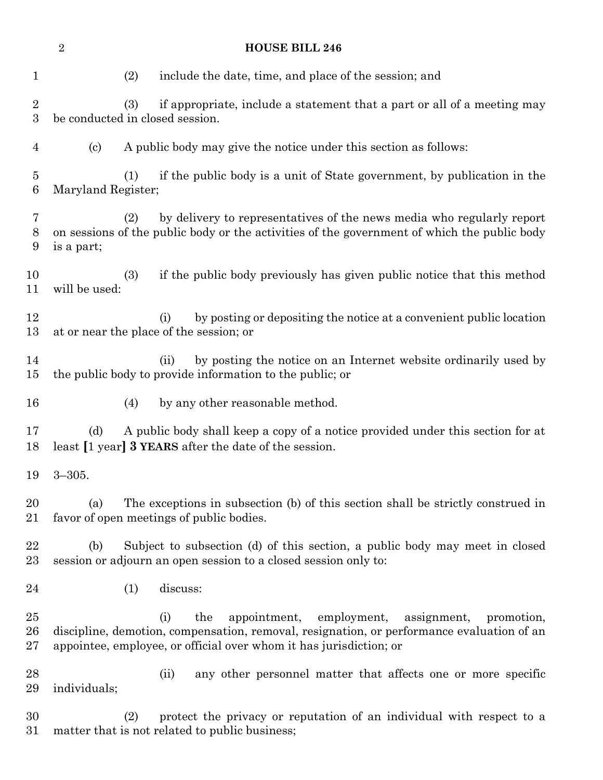|                                | $\boldsymbol{2}$                                                                                                                               | <b>HOUSE BILL 246</b>                                                                                                                                                                                                                     |  |  |  |  |  |
|--------------------------------|------------------------------------------------------------------------------------------------------------------------------------------------|-------------------------------------------------------------------------------------------------------------------------------------------------------------------------------------------------------------------------------------------|--|--|--|--|--|
| $\mathbf 1$                    |                                                                                                                                                | include the date, time, and place of the session; and<br>(2)                                                                                                                                                                              |  |  |  |  |  |
| $\sqrt{2}$<br>$\boldsymbol{3}$ |                                                                                                                                                | (3)<br>if appropriate, include a statement that a part or all of a meeting may<br>be conducted in closed session.                                                                                                                         |  |  |  |  |  |
| $\overline{4}$                 | (c)                                                                                                                                            | A public body may give the notice under this section as follows:                                                                                                                                                                          |  |  |  |  |  |
| $\overline{5}$<br>$\,6$        |                                                                                                                                                | if the public body is a unit of State government, by publication in the<br>(1)<br>Maryland Register;                                                                                                                                      |  |  |  |  |  |
| 7<br>$8\,$<br>$\boldsymbol{9}$ | is a part;                                                                                                                                     | by delivery to representatives of the news media who regularly report<br>(2)<br>on sessions of the public body or the activities of the government of which the public body                                                               |  |  |  |  |  |
| 10<br>11                       | if the public body previously has given public notice that this method<br>(3)<br>will be used:                                                 |                                                                                                                                                                                                                                           |  |  |  |  |  |
| 12<br>13                       | by posting or depositing the notice at a convenient public location<br>(i)<br>at or near the place of the session; or                          |                                                                                                                                                                                                                                           |  |  |  |  |  |
| 14<br>15                       |                                                                                                                                                | by posting the notice on an Internet website ordinarily used by<br>(ii)<br>the public body to provide information to the public; or                                                                                                       |  |  |  |  |  |
| 16                             |                                                                                                                                                | by any other reasonable method.<br>(4)                                                                                                                                                                                                    |  |  |  |  |  |
| 17<br>18                       | A public body shall keep a copy of a notice provided under this section for at<br>(d)<br>least [1 year] 3 YEARS after the date of the session. |                                                                                                                                                                                                                                           |  |  |  |  |  |
| 19                             | $3 - 305.$                                                                                                                                     |                                                                                                                                                                                                                                           |  |  |  |  |  |
| 20<br>21                       | (a)                                                                                                                                            | The exceptions in subsection (b) of this section shall be strictly construed in<br>favor of open meetings of public bodies.                                                                                                               |  |  |  |  |  |
| 22<br>23                       | (b)                                                                                                                                            | Subject to subsection (d) of this section, a public body may meet in closed<br>session or adjourn an open session to a closed session only to:                                                                                            |  |  |  |  |  |
| 24                             |                                                                                                                                                | discuss:<br>(1)                                                                                                                                                                                                                           |  |  |  |  |  |
| 25<br>26<br>27                 |                                                                                                                                                | employment,<br>(i)<br>the<br>appointment,<br>assignment,<br>promotion,<br>discipline, demotion, compensation, removal, resignation, or performance evaluation of an<br>appointee, employee, or official over whom it has jurisdiction; or |  |  |  |  |  |
| 28<br>29                       | individuals;                                                                                                                                   | any other personnel matter that affects one or more specific<br>(ii)                                                                                                                                                                      |  |  |  |  |  |
| 30<br>31                       |                                                                                                                                                | protect the privacy or reputation of an individual with respect to a<br>(2)<br>matter that is not related to public business;                                                                                                             |  |  |  |  |  |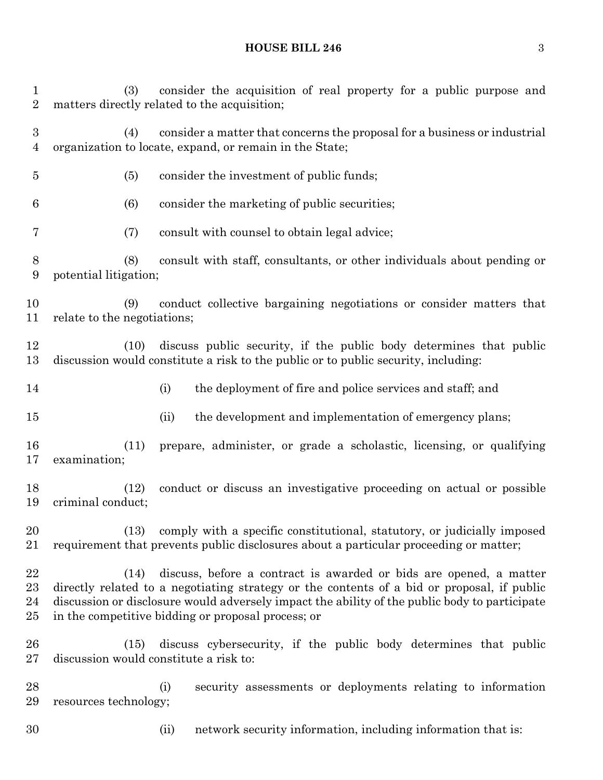(3) consider the acquisition of real property for a public purpose and matters directly related to the acquisition; (4) consider a matter that concerns the proposal for a business or industrial organization to locate, expand, or remain in the State; (5) consider the investment of public funds; (6) consider the marketing of public securities; (7) consult with counsel to obtain legal advice; (8) consult with staff, consultants, or other individuals about pending or potential litigation; (9) conduct collective bargaining negotiations or consider matters that relate to the negotiations; (10) discuss public security, if the public body determines that public discussion would constitute a risk to the public or to public security, including: 14 (i) the deployment of fire and police services and staff; and (ii) the development and implementation of emergency plans; (11) prepare, administer, or grade a scholastic, licensing, or qualifying examination; (12) conduct or discuss an investigative proceeding on actual or possible criminal conduct; (13) comply with a specific constitutional, statutory, or judicially imposed requirement that prevents public disclosures about a particular proceeding or matter; (14) discuss, before a contract is awarded or bids are opened, a matter directly related to a negotiating strategy or the contents of a bid or proposal, if public discussion or disclosure would adversely impact the ability of the public body to participate in the competitive bidding or proposal process; or (15) discuss cybersecurity, if the public body determines that public discussion would constitute a risk to: (i) security assessments or deployments relating to information resources technology; (ii) network security information, including information that is:

**HOUSE BILL 246** 3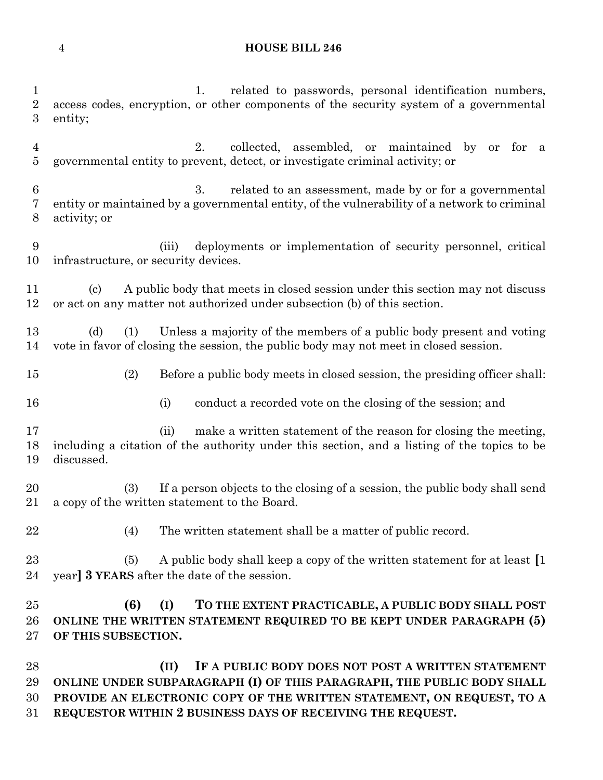#### **HOUSE BILL 246**

 1. related to passwords, personal identification numbers, access codes, encryption, or other components of the security system of a governmental entity; 2. collected, assembled, or maintained by or for a governmental entity to prevent, detect, or investigate criminal activity; or 3. related to an assessment, made by or for a governmental entity or maintained by a governmental entity, of the vulnerability of a network to criminal activity; or (iii) deployments or implementation of security personnel, critical infrastructure, or security devices. (c) A public body that meets in closed session under this section may not discuss or act on any matter not authorized under subsection (b) of this section. (d) (1) Unless a majority of the members of a public body present and voting vote in favor of closing the session, the public body may not meet in closed session. (2) Before a public body meets in closed session, the presiding officer shall: 16 (i) conduct a recorded vote on the closing of the session; and 17 (ii) make a written statement of the reason for closing the meeting, including a citation of the authority under this section, and a listing of the topics to be discussed. (3) If a person objects to the closing of a session, the public body shall send a copy of the written statement to the Board. (4) The written statement shall be a matter of public record. (5) A public body shall keep a copy of the written statement for at least **[**1 year**] 3 YEARS** after the date of the session. **(6) (I) TO THE EXTENT PRACTICABLE, A PUBLIC BODY SHALL POST ONLINE THE WRITTEN STATEMENT REQUIRED TO BE KEPT UNDER PARAGRAPH (5) OF THIS SUBSECTION. (II) IF A PUBLIC BODY DOES NOT POST A WRITTEN STATEMENT ONLINE UNDER SUBPARAGRAPH (I) OF THIS PARAGRAPH, THE PUBLIC BODY SHALL PROVIDE AN ELECTRONIC COPY OF THE WRITTEN STATEMENT, ON REQUEST, TO A** 

**REQUESTOR WITHIN 2 BUSINESS DAYS OF RECEIVING THE REQUEST.**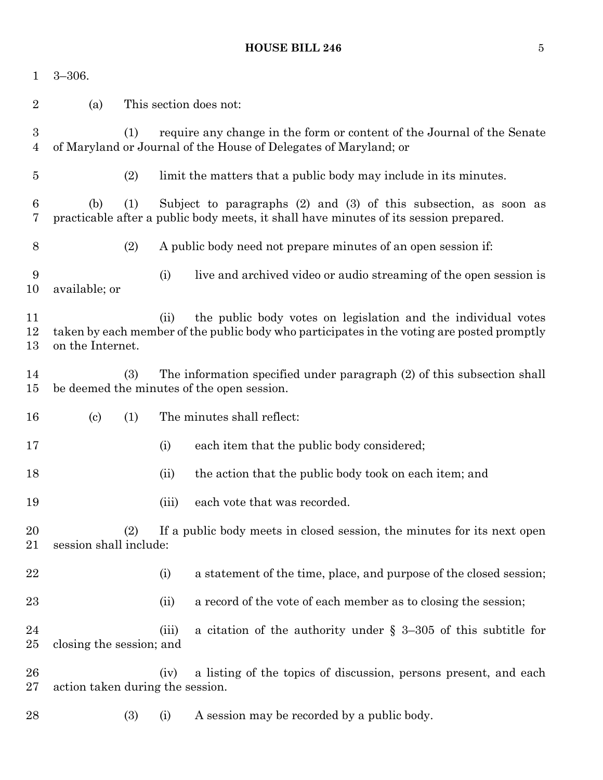#### **HOUSE BILL 246** 5

| $\mathbf 1$         | $3 - 306.$                                                                                               |                                                                                                                                                   |                                                                                                                                                               |                                                                                                                                                             |  |  |  |
|---------------------|----------------------------------------------------------------------------------------------------------|---------------------------------------------------------------------------------------------------------------------------------------------------|---------------------------------------------------------------------------------------------------------------------------------------------------------------|-------------------------------------------------------------------------------------------------------------------------------------------------------------|--|--|--|
| $\overline{2}$      | (a)                                                                                                      | This section does not:                                                                                                                            |                                                                                                                                                               |                                                                                                                                                             |  |  |  |
| 3<br>$\overline{4}$ |                                                                                                          | require any change in the form or content of the Journal of the Senate<br>(1)<br>of Maryland or Journal of the House of Delegates of Maryland; or |                                                                                                                                                               |                                                                                                                                                             |  |  |  |
| $\overline{5}$      |                                                                                                          | (2)                                                                                                                                               |                                                                                                                                                               | limit the matters that a public body may include in its minutes.                                                                                            |  |  |  |
| 6<br>7              | (b)                                                                                                      | (1)                                                                                                                                               | Subject to paragraphs $(2)$ and $(3)$ of this subsection, as soon as<br>practicable after a public body meets, it shall have minutes of its session prepared. |                                                                                                                                                             |  |  |  |
| 8                   |                                                                                                          | (2)                                                                                                                                               |                                                                                                                                                               | A public body need not prepare minutes of an open session if:                                                                                               |  |  |  |
| 9<br>10             | available; or                                                                                            |                                                                                                                                                   | (i)                                                                                                                                                           | live and archived video or audio streaming of the open session is                                                                                           |  |  |  |
| 11<br>12<br>13      | on the Internet.                                                                                         |                                                                                                                                                   | (ii)                                                                                                                                                          | the public body votes on legislation and the individual votes<br>taken by each member of the public body who participates in the voting are posted promptly |  |  |  |
| 14<br>$15\,$        |                                                                                                          | (3)<br>The information specified under paragraph (2) of this subsection shall<br>be deemed the minutes of the open session.                       |                                                                                                                                                               |                                                                                                                                                             |  |  |  |
| 16                  | $\left( \mathrm{c}\right)$                                                                               | (1)                                                                                                                                               |                                                                                                                                                               | The minutes shall reflect:                                                                                                                                  |  |  |  |
| 17                  |                                                                                                          |                                                                                                                                                   | (i)                                                                                                                                                           | each item that the public body considered;                                                                                                                  |  |  |  |
| 18                  |                                                                                                          |                                                                                                                                                   | (ii)                                                                                                                                                          | the action that the public body took on each item; and                                                                                                      |  |  |  |
| 19                  |                                                                                                          |                                                                                                                                                   | (iii)                                                                                                                                                         | each vote that was recorded.                                                                                                                                |  |  |  |
| 20<br>21            | If a public body meets in closed session, the minutes for its next open<br>(2)<br>session shall include: |                                                                                                                                                   |                                                                                                                                                               |                                                                                                                                                             |  |  |  |
| 22                  |                                                                                                          |                                                                                                                                                   | (i)                                                                                                                                                           | a statement of the time, place, and purpose of the closed session;                                                                                          |  |  |  |
| 23                  |                                                                                                          |                                                                                                                                                   | (ii)                                                                                                                                                          | a record of the vote of each member as to closing the session;                                                                                              |  |  |  |
| 24<br>$25\,$        | closing the session; and                                                                                 |                                                                                                                                                   | (iii)                                                                                                                                                         | a citation of the authority under $\S$ 3-305 of this subtitle for                                                                                           |  |  |  |
| 26<br>$27\,$        | action taken during the session.                                                                         |                                                                                                                                                   | (iv)                                                                                                                                                          | a listing of the topics of discussion, persons present, and each                                                                                            |  |  |  |
| 28                  |                                                                                                          | (3)                                                                                                                                               | (i)                                                                                                                                                           | A session may be recorded by a public body.                                                                                                                 |  |  |  |